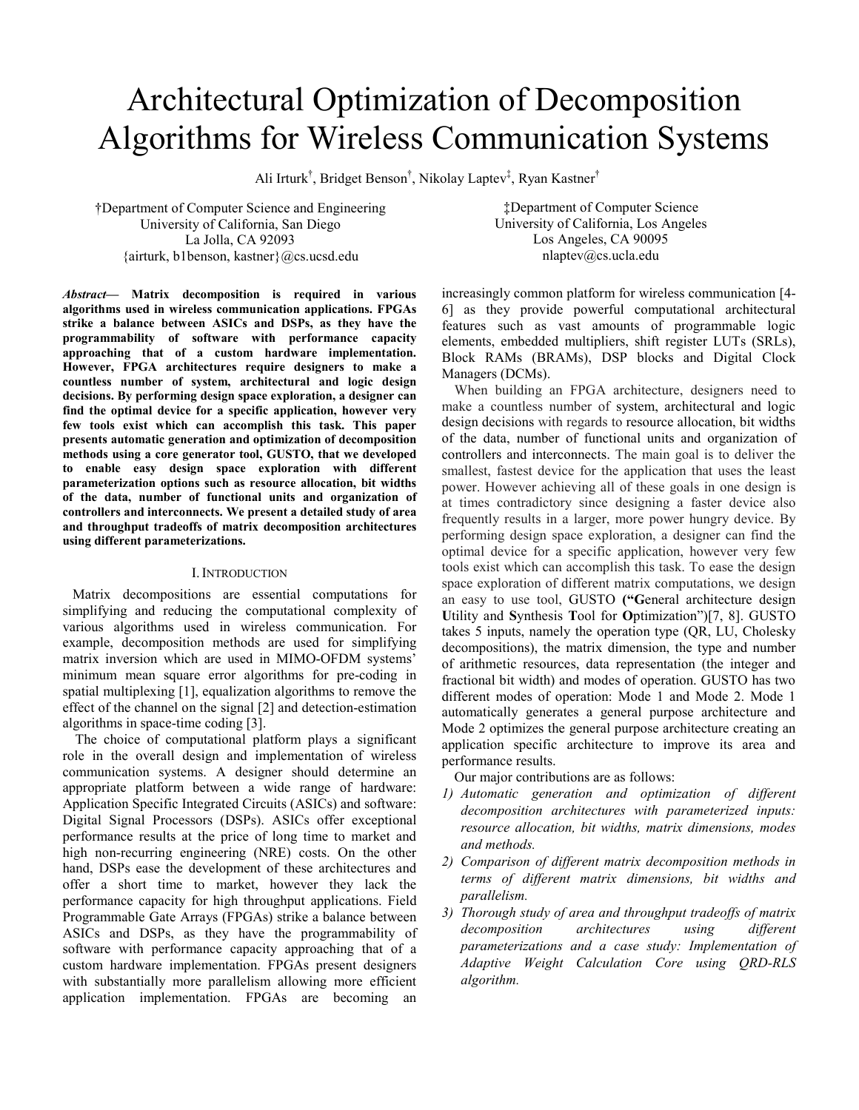# Architectural Optimization of Decomposition Algorithms for Wireless Communication Systems

Ali Irturk<sup>†</sup>, Bridget Benson<sup>†</sup>, Nikolay Laptev<sup>‡</sup>, Ryan Kastner<sup>†</sup>

†Department of Computer Science and Engineering University of California, San Diego La Jolla, CA 92093 {airturk, b1benson, kastner}@cs.ucsd.edu

‡Department of Computer Science University of California, Los Angeles Los Angeles, CA 90095 nlaptev@cs.ucla.edu

*Abstract***— Matrix decomposition is required in various algorithms used in wireless communication applications. FPGAs strike a balance between ASICs and DSPs, as they have the programmability of software with performance capacity approaching that of a custom hardware implementation. However, FPGA architectures require designers to make a countless number of system, architectural and logic design decisions. By performing design space exploration, a designer can find the optimal device for a specific application, however very few tools exist which can accomplish this task. This paper presents automatic generation and optimization of decomposition methods using a core generator tool, GUSTO, that we developed to enable easy design space exploration with different parameterization options such as resource allocation, bit widths of the data, number of functional units and organization of controllers and interconnects. We present a detailed study of area and throughput tradeoffs of matrix decomposition architectures using different parameterizations.** 

#### I.INTRODUCTION

Matrix decompositions are essential computations for simplifying and reducing the computational complexity of various algorithms used in wireless communication. For example, decomposition methods are used for simplifying matrix inversion which are used in MIMO-OFDM systems' minimum mean square error algorithms for pre-coding in spatial multiplexing [1], equalization algorithms to remove the effect of the channel on the signal [2] and detection-estimation algorithms in space-time coding [3].

The choice of computational platform plays a significant role in the overall design and implementation of wireless communication systems. A designer should determine an appropriate platform between a wide range of hardware: Application Specific Integrated Circuits (ASICs) and software: Digital Signal Processors (DSPs). ASICs offer exceptional performance results at the price of long time to market and high non-recurring engineering (NRE) costs. On the other hand, DSPs ease the development of these architectures and offer a short time to market, however they lack the performance capacity for high throughput applications. Field Programmable Gate Arrays (FPGAs) strike a balance between ASICs and DSPs, as they have the programmability of software with performance capacity approaching that of a custom hardware implementation. FPGAs present designers with substantially more parallelism allowing more efficient application implementation. FPGAs are becoming an

increasingly common platform for wireless communication [4- 6] as they provide powerful computational architectural features such as vast amounts of programmable logic elements, embedded multipliers, shift register LUTs (SRLs), Block RAMs (BRAMs), DSP blocks and Digital Clock Managers (DCMs).

When building an FPGA architecture, designers need to make a countless number of system, architectural and logic design decisions with regards to resource allocation, bit widths of the data, number of functional units and organization of controllers and interconnects. The main goal is to deliver the smallest, fastest device for the application that uses the least power. However achieving all of these goals in one design is at times contradictory since designing a faster device also frequently results in a larger, more power hungry device. By performing design space exploration, a designer can find the optimal device for a specific application, however very few tools exist which can accomplish this task. To ease the design space exploration of different matrix computations, we design an easy to use tool, GUSTO **("G**eneral architecture design **U**tility and **S**ynthesis **T**ool for **O**ptimization")[7, 8]. GUSTO takes 5 inputs, namely the operation type (QR, LU, Cholesky decompositions), the matrix dimension, the type and number of arithmetic resources, data representation (the integer and fractional bit width) and modes of operation. GUSTO has two different modes of operation: Mode 1 and Mode 2. Mode 1 automatically generates a general purpose architecture and Mode 2 optimizes the general purpose architecture creating an application specific architecture to improve its area and performance results.

Our major contributions are as follows:

- *1) Automatic generation and optimization of different decomposition architectures with parameterized inputs: resource allocation, bit widths, matrix dimensions, modes and methods.*
- *2) Comparison of different matrix decomposition methods in terms of different matrix dimensions, bit widths and parallelism.*
- *3) Thorough study of area and throughput tradeoffs of matrix decomposition architectures using different parameterizations and a case study: Implementation of Adaptive Weight Calculation Core using QRD-RLS algorithm.*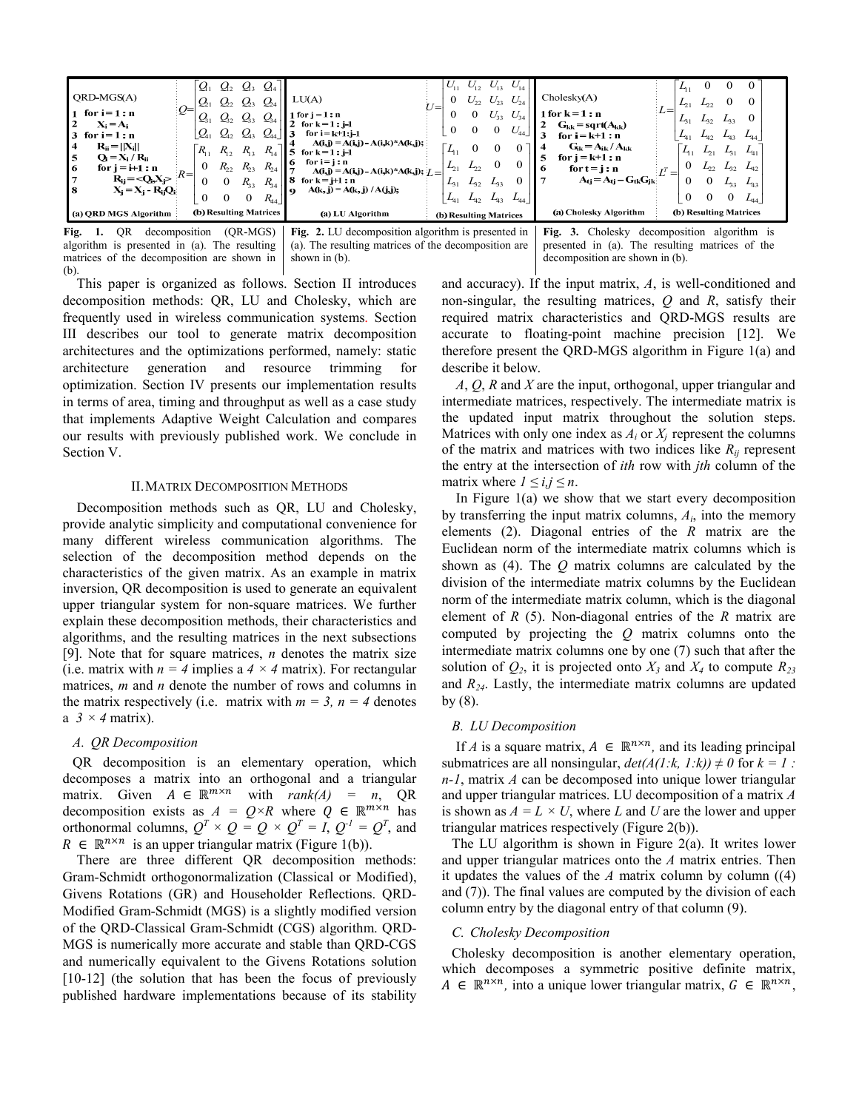| (b) Resulting Matrices | $Q_{1}$<br>$\mathcal{Q}_3$<br>$Q_{2}$<br>ORD-MGS(A)<br>$Q_{22}$ $Q_{33}$<br>$Q_{4}$<br>$Q_{1}$<br>$Q=$<br>for $i=1:n$<br>$Q_{4}$<br>$Q_{3}$<br>$Q_{1}$<br>$\mathcal{Q}_{2}$<br>$X_i = A_i$<br>$Q_{41}$<br>$Q_{43}$<br>$Q_{22}$<br>$Q_{44}$   <br>$3$ for $i=1:n$<br>$R_{ii} =   X_i  $<br>$R_{1}$<br>$R_{\alpha}$<br>$R_{\rm h}$<br>$Q_i = X_i / R_{ii}$<br>$R_{24}$<br>$R_{2}$<br>16<br>for $j = i+1:n$<br>$K_{22}$<br>$R=$<br>$R_{ij} = \langle Q_i, X_j \rangle$<br>$R_{34}$<br>$R_{33}$<br>$\Omega$<br>$X_i = X_i - R_{ij}Q_i$<br>18<br>$R_{44\perp}$<br>$\theta$<br>(b) Resulting Matrices<br>(a) QRD MGS Algorithm | $U_{11}$<br>$U_{12}$<br>LU(A)<br>$U_{\gamma}$<br>U.,<br>$U_{22}$<br>$U=$<br>$U_{34}$<br>$U_{33}$<br>1 for $j = 1:n$<br>0<br>2 for $k = 1$ : i-1<br>$U_{44}$<br>$\bf{0}$<br>for $i = k+1:i-1$<br>$A(i,j) = A(i,j) - A(i,k)^* A(k,j);$<br>$L_{11}$<br>5<br>for $k = 1 : i-1$<br>for $i = i : n$<br>6<br>$L_{21}$<br>$L_{22}$<br>$A(i,j) = A(i,j) - A(i,k)*A(k,j);$ $L =$<br>8<br>for $k = i+1:n$<br>$L_{31}$<br>$L_{32}$<br>$L_{33}$<br>$A(k, j) = A(k, j) / A(j, j);$<br>$L_{41}$<br>$L_{43}$<br>$L_{44}$ .<br>$-42$<br>(a) LU Algorithm | $L_{11}$<br>Cholesky(A)<br>$\mathcal{L}_{\Omega}$<br>$L_{21}$<br>$L =$<br>$1$ for $k = 1:n$<br>$L_{33}$<br>$L_{32}$<br>$L_{31}$<br>$G_{kk}$ = sqrt( $A_{kk}$ )<br>for $i = k+1:n$<br>3<br>$L_{44}$<br>$L_{43}$<br>$L_{42}$<br>$L_{41}$<br>$G_{ik} = A_{ik} / A_{kk}$<br>$L_{\rm{H}}$<br>$L_{21}$<br>$L_{31}$<br>for $j = k+1:n$<br>-3<br>$L_{32}$<br>for $t = j : n$<br>$L_{22}$<br>$L' =$<br>$A_{tj} = A_{tj} - G_{tk}G_{jk}$<br>$L_{43}$<br>$L_{33}$<br>$L_{44}$<br>(b) Resulting Matrices<br>(a) Cholesky Algorithm |
|------------------------|--------------------------------------------------------------------------------------------------------------------------------------------------------------------------------------------------------------------------------------------------------------------------------------------------------------------------------------------------------------------------------------------------------------------------------------------------------------------------------------------------------------------------------------------------------------------------------------------------------------------------|-----------------------------------------------------------------------------------------------------------------------------------------------------------------------------------------------------------------------------------------------------------------------------------------------------------------------------------------------------------------------------------------------------------------------------------------------------------------------------------------------------------------------------------------|------------------------------------------------------------------------------------------------------------------------------------------------------------------------------------------------------------------------------------------------------------------------------------------------------------------------------------------------------------------------------------------------------------------------------------------------------------------------------------------------------------------------|
|------------------------|--------------------------------------------------------------------------------------------------------------------------------------------------------------------------------------------------------------------------------------------------------------------------------------------------------------------------------------------------------------------------------------------------------------------------------------------------------------------------------------------------------------------------------------------------------------------------------------------------------------------------|-----------------------------------------------------------------------------------------------------------------------------------------------------------------------------------------------------------------------------------------------------------------------------------------------------------------------------------------------------------------------------------------------------------------------------------------------------------------------------------------------------------------------------------------|------------------------------------------------------------------------------------------------------------------------------------------------------------------------------------------------------------------------------------------------------------------------------------------------------------------------------------------------------------------------------------------------------------------------------------------------------------------------------------------------------------------------|

**Fig. 1.** QR decomposition (QR-MGS) algorithm is presented in (a). The resulting matrices of the decomposition are shown in  $(b)$ **Fig. 2.** LU decomposition algorithm is presented in (a). The resulting matrices of the decomposition are shown in (b). **Fig. 3.** Cholesky decomposition algorithm is presented in (a). The resulting matrices of the decomposition are shown in (b).

This paper is organized as follows. Section II introduces decomposition methods: QR, LU and Cholesky, which are frequently used in wireless communication systems. Section III describes our tool to generate matrix decomposition architectures and the optimizations performed, namely: static architecture generation and resource trimming for optimization. Section IV presents our implementation results in terms of area, timing and throughput as well as a case study that implements Adaptive Weight Calculation and compares our results with previously published work. We conclude in Section V.

### II.MATRIX DECOMPOSITION METHODS

Decomposition methods such as QR, LU and Cholesky, provide analytic simplicity and computational convenience for many different wireless communication algorithms. The selection of the decomposition method depends on the characteristics of the given matrix. As an example in matrix inversion, QR decomposition is used to generate an equivalent upper triangular system for non-square matrices. We further explain these decomposition methods, their characteristics and algorithms, and the resulting matrices in the next subsections [9]. Note that for square matrices, *n* denotes the matrix size (i.e. matrix with  $n = 4$  implies a  $4 \times 4$  matrix). For rectangular matrices, *m* and *n* denote the number of rows and columns in the matrix respectively (i.e. matrix with  $m = 3$ ,  $n = 4$  denotes a  $3 \times 4$  matrix).

#### *A. QR Decomposition*

QR decomposition is an elementary operation, which decomposes a matrix into an orthogonal and a triangular matrix. Given  $A \in \mathbb{R}^{m \times n}$  with  $rank(A) = n$ , QR decomposition exists as  $A = Q \times R$  where  $Q \in \mathbb{R}^{m \times n}$  has orthonormal columns,  $Q^T \times Q = Q \times Q^T = I$ ,  $Q^T = Q^T$ , and  $R \in \mathbb{R}^{n \times n}$  is an upper triangular matrix (Figure 1(b)).

There are three different QR decomposition methods: Gram-Schmidt orthogonormalization (Classical or Modified), Givens Rotations (GR) and Householder Reflections. QRD-Modified Gram-Schmidt (MGS) is a slightly modified version of the QRD-Classical Gram-Schmidt (CGS) algorithm. QRD-MGS is numerically more accurate and stable than QRD-CGS and numerically equivalent to the Givens Rotations solution [10-12] (the solution that has been the focus of previously published hardware implementations because of its stability and accuracy). If the input matrix, *A*, is well-conditioned and non-singular, the resulting matrices, *Q* and *R*, satisfy their required matrix characteristics and QRD-MGS results are accurate to floating-point machine precision [12]. We therefore present the QRD-MGS algorithm in Figure 1(a) and describe it below.

*A*, *Q*, *R* and *X* are the input, orthogonal, upper triangular and intermediate matrices, respectively. The intermediate matrix is the updated input matrix throughout the solution steps. Matrices with only one index as  $A_i$  or  $X_i$  represent the columns of the matrix and matrices with two indices like  $R_{ij}$  represent the entry at the intersection of *ith* row with *jth* column of the matrix where  $1 \le i, j \le n$ .

In Figure  $1(a)$  we show that we start every decomposition by transferring the input matrix columns,  $A_i$ , into the memory elements (2). Diagonal entries of the *R* matrix are the Euclidean norm of the intermediate matrix columns which is shown as (4). The *Q* matrix columns are calculated by the division of the intermediate matrix columns by the Euclidean norm of the intermediate matrix column, which is the diagonal element of *R* (5). Non-diagonal entries of the *R* matrix are computed by projecting the *Q* matrix columns onto the intermediate matrix columns one by one (7) such that after the solution of  $Q_2$ , it is projected onto  $X_3$  and  $X_4$  to compute  $R_{23}$ and *R24*. Lastly, the intermediate matrix columns are updated by (8).

## *B. LU Decomposition*

If *A* is a square matrix,  $A \in \mathbb{R}^{n \times n}$ , and its leading principal submatrices are all nonsingular,  $det(A(1:k, 1:k)) \neq 0$  for  $k = 1$ : *n-1*, matrix *A* can be decomposed into unique lower triangular and upper triangular matrices. LU decomposition of a matrix *A* is shown as  $A = L \times U$ , where *L* and *U* are the lower and upper triangular matrices respectively (Figure 2(b)).

The LU algorithm is shown in Figure 2(a). It writes lower and upper triangular matrices onto the *A* matrix entries. Then it updates the values of the  $A$  matrix column by column  $((4)$ and (7)). The final values are computed by the division of each column entry by the diagonal entry of that column (9).

## *C. Cholesky Decomposition*

Cholesky decomposition is another elementary operation, which decomposes a symmetric positive definite matrix,  $A \in \mathbb{R}^{n \times n}$ , into a unique lower triangular matrix,  $G \in \mathbb{R}^{n \times n}$ ,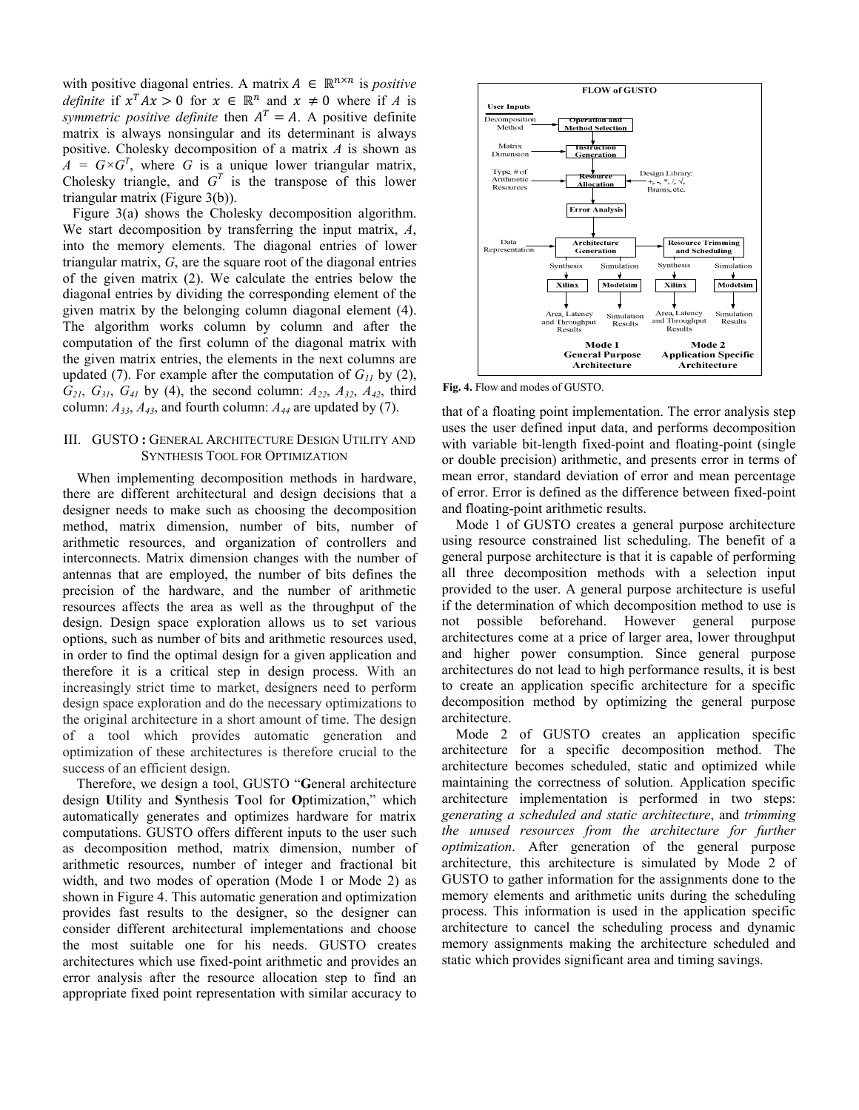with positive diagonal entries. A matrix  $A \in \mathbb{R}^{n \times n}$  is *positive definite* if  $x^T A x > 0$  for  $x \in \mathbb{R}^n$  and  $x \neq 0$  where if *A* is *symmetric positive definite* then  $A<sup>T</sup> = A$ . A positive definite matrix is always nonsingular and its determinant is always positive. Cholesky decomposition of a matrix *A* is shown as  $A = G \times G^T$ , where *G* is a unique lower triangular matrix, Cholesky triangle, and  $G<sup>T</sup>$  is the transpose of this lower triangular matrix (Figure 3(b)).

Figure 3(a) shows the Cholesky decomposition algorithm. We start decomposition by transferring the input matrix, *A*, into the memory elements. The diagonal entries of lower triangular matrix, *G*, are the square root of the diagonal entries of the given matrix (2). We calculate the entries below the diagonal entries by dividing the corresponding element of the given matrix by the belonging column diagonal element (4). The algorithm works column by column and after the computation of the first column of the diagonal matrix with the given matrix entries, the elements in the next columns are updated (7). For example after the computation of  $G_{11}$  by (2),  $G_{21}$ ,  $G_{31}$ ,  $G_{41}$  by (4), the second column:  $A_{22}$ ,  $A_{32}$ ,  $A_{42}$ , third column:  $A_{33}$ ,  $A_{43}$ , and fourth column:  $A_{44}$  are updated by (7).

## III. GUSTO **:** GENERAL ARCHITECTURE DESIGN UTILITY AND SYNTHESIS TOOL FOR OPTIMIZATION

When implementing decomposition methods in hardware, there are different architectural and design decisions that a designer needs to make such as choosing the decomposition method, matrix dimension, number of bits, number of arithmetic resources, and organization of controllers and interconnects. Matrix dimension changes with the number of antennas that are employed, the number of bits defines the precision of the hardware, and the number of arithmetic resources affects the area as well as the throughput of the design. Design space exploration allows us to set various options, such as number of bits and arithmetic resources used, in order to find the optimal design for a given application and therefore it is a critical step in design process. With an increasingly strict time to market, designers need to perform design space exploration and do the necessary optimizations to the original architecture in a short amount of time. The design of a tool which provides automatic generation and optimization of these architectures is therefore crucial to the success of an efficient design.

Therefore, we design a tool, GUSTO "**G**eneral architecture design **U**tility and **S**ynthesis **T**ool for **O**ptimization," which automatically generates and optimizes hardware for matrix computations. GUSTO offers different inputs to the user such as decomposition method, matrix dimension, number of arithmetic resources, number of integer and fractional bit width, and two modes of operation (Mode 1 or Mode 2) as shown in Figure 4. This automatic generation and optimization provides fast results to the designer, so the designer can consider different architectural implementations and choose the most suitable one for his needs. GUSTO creates architectures which use fixed-point arithmetic and provides an error analysis after the resource allocation step to find an appropriate fixed point representation with similar accuracy to



**Fig. 4.** Flow and modes of GUSTO.

that of a floating point implementation. The error analysis step uses the user defined input data, and performs decomposition with variable bit-length fixed-point and floating-point (single or double precision) arithmetic, and presents error in terms of mean error, standard deviation of error and mean percentage of error. Error is defined as the difference between fixed-point and floating-point arithmetic results.

Mode 1 of GUSTO creates a general purpose architecture using resource constrained list scheduling. The benefit of a general purpose architecture is that it is capable of performing all three decomposition methods with a selection input provided to the user. A general purpose architecture is useful if the determination of which decomposition method to use is not possible beforehand. However general purpose architectures come at a price of larger area, lower throughput and higher power consumption. Since general purpose architectures do not lead to high performance results, it is best to create an application specific architecture for a specific decomposition method by optimizing the general purpose architecture.

Mode 2 of GUSTO creates an application specific architecture for a specific decomposition method. The architecture becomes scheduled, static and optimized while maintaining the correctness of solution. Application specific architecture implementation is performed in two steps: *generating a scheduled and static architecture*, and *trimming the unused resources from the architecture for further optimization*. After generation of the general purpose architecture, this architecture is simulated by Mode 2 of GUSTO to gather information for the assignments done to the memory elements and arithmetic units during the scheduling process. This information is used in the application specific architecture to cancel the scheduling process and dynamic memory assignments making the architecture scheduled and static which provides significant area and timing savings.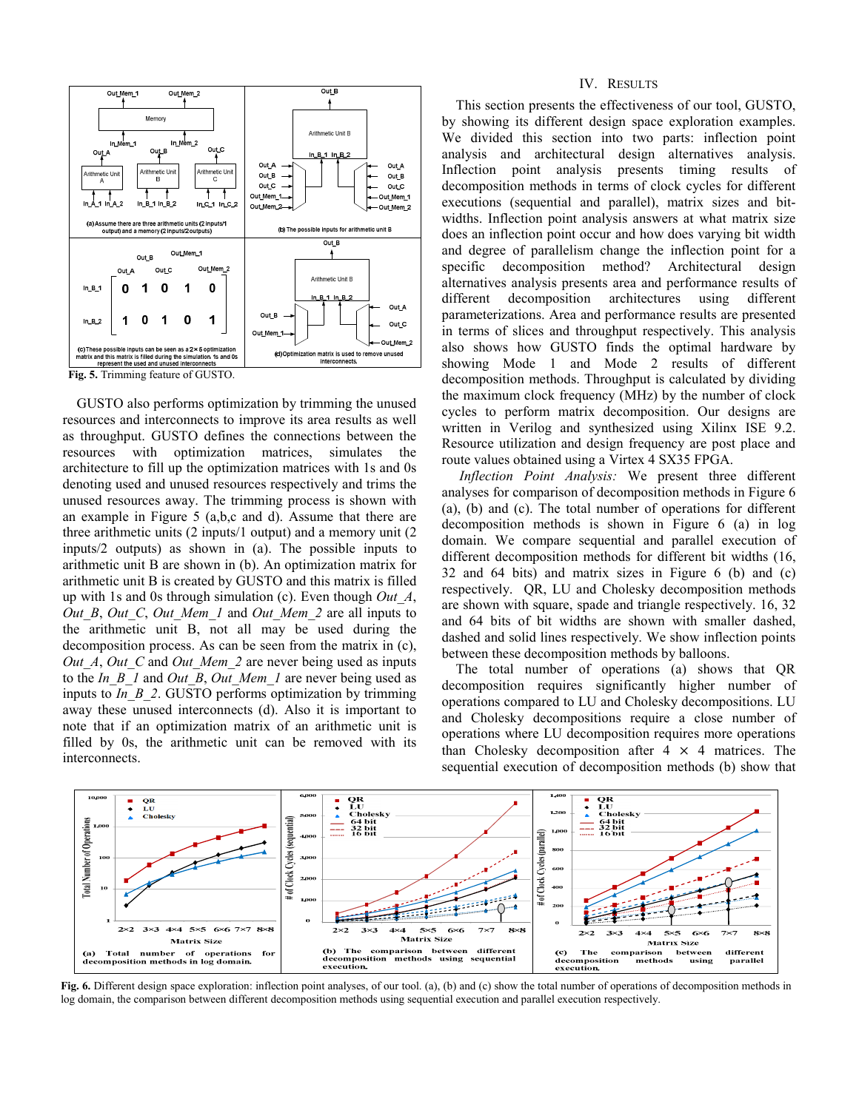

**Fig. 5.** Trimming feature of GUSTO.

GUSTO also performs optimization by trimming the unused resources and interconnects to improve its area results as well as throughput. GUSTO defines the connections between the resources with optimization matrices, simulates the architecture to fill up the optimization matrices with 1s and 0s denoting used and unused resources respectively and trims the unused resources away. The trimming process is shown with an example in Figure 5 (a,b,c and d). Assume that there are three arithmetic units (2 inputs/1 output) and a memory unit (2 inputs/2 outputs) as shown in (a). The possible inputs to arithmetic unit B are shown in (b). An optimization matrix for arithmetic unit B is created by GUSTO and this matrix is filled up with 1s and 0s through simulation (c). Even though *Out\_A*, *Out\_B*, *Out\_C*, *Out\_Mem\_1* and *Out\_Mem\_2* are all inputs to the arithmetic unit B, not all may be used during the decomposition process. As can be seen from the matrix in (c), *Out A*, *Out C* and *Out Mem 2* are never being used as inputs to the *In\_B\_1* and *Out\_B*, *Out\_Mem\_1* are never being used as inputs to *In\_B\_2*. GUSTO performs optimization by trimming away these unused interconnects (d). Also it is important to note that if an optimization matrix of an arithmetic unit is filled by 0s, the arithmetic unit can be removed with its interconnects.

#### IV. RESULTS

This section presents the effectiveness of our tool, GUSTO, by showing its different design space exploration examples. We divided this section into two parts: inflection point analysis and architectural design alternatives analysis. Inflection point analysis presents timing results of decomposition methods in terms of clock cycles for different executions (sequential and parallel), matrix sizes and bitwidths. Inflection point analysis answers at what matrix size does an inflection point occur and how does varying bit width and degree of parallelism change the inflection point for a specific decomposition method? Architectural design alternatives analysis presents area and performance results of different decomposition architectures using different parameterizations. Area and performance results are presented in terms of slices and throughput respectively. This analysis also shows how GUSTO finds the optimal hardware by showing Mode 1 and Mode 2 results of different decomposition methods. Throughput is calculated by dividing the maximum clock frequency (MHz) by the number of clock cycles to perform matrix decomposition. Our designs are written in Verilog and synthesized using Xilinx ISE 9.2. Resource utilization and design frequency are post place and route values obtained using a Virtex 4 SX35 FPGA.

 *Inflection Point Analysis:* We present three different analyses for comparison of decomposition methods in Figure 6 (a), (b) and (c). The total number of operations for different decomposition methods is shown in Figure 6 (a) in log domain. We compare sequential and parallel execution of different decomposition methods for different bit widths (16, 32 and 64 bits) and matrix sizes in Figure 6 (b) and (c) respectively. QR, LU and Cholesky decomposition methods are shown with square, spade and triangle respectively. 16, 32 and 64 bits of bit widths are shown with smaller dashed, dashed and solid lines respectively. We show inflection points between these decomposition methods by balloons.

 The total number of operations (a) shows that QR decomposition requires significantly higher number of operations compared to LU and Cholesky decompositions. LU and Cholesky decompositions require a close number of operations where LU decomposition requires more operations than Cholesky decomposition after  $4 \times 4$  matrices. The sequential execution of decomposition methods (b) show that



**Fig. 6.** Different design space exploration: inflection point analyses, of our tool. (a), (b) and (c) show the total number of operations of decomposition methods in log domain, the comparison between different decomposition methods using sequential execution and parallel execution respectively.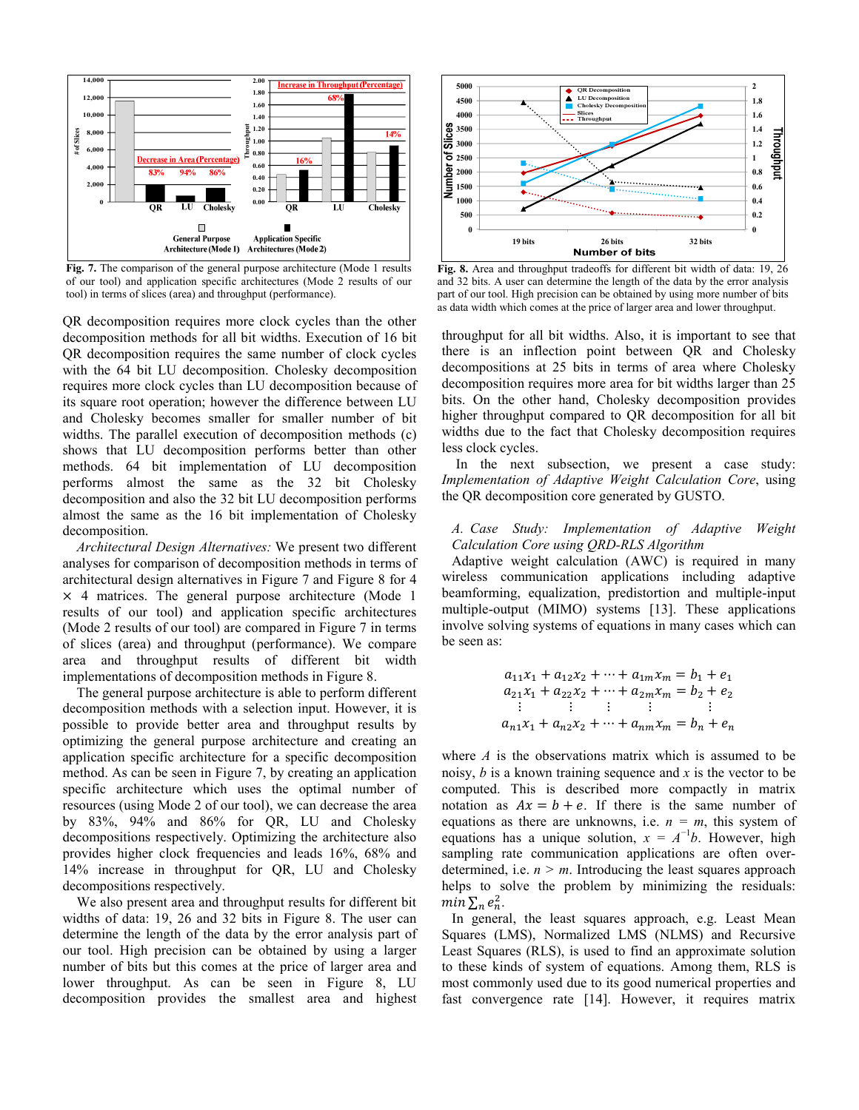

**Fig. 7.** The comparison of the general purpose architecture (Mode 1 results of our tool) and application specific architectures (Mode 2 results of our tool) in terms of slices (area) and throughput (performance).

QR decomposition requires more clock cycles than the other decomposition methods for all bit widths. Execution of 16 bit QR decomposition requires the same number of clock cycles with the 64 bit LU decomposition. Cholesky decomposition requires more clock cycles than LU decomposition because of its square root operation; however the difference between LU and Cholesky becomes smaller for smaller number of bit widths. The parallel execution of decomposition methods (c) shows that LU decomposition performs better than other methods. 64 bit implementation of LU decomposition performs almost the same as the 32 bit Cholesky decomposition and also the 32 bit LU decomposition performs almost the same as the 16 bit implementation of Cholesky decomposition.

*Architectural Design Alternatives:* We present two different analyses for comparison of decomposition methods in terms of architectural design alternatives in Figure 7 and Figure 8 for 4  $\times$  4 matrices. The general purpose architecture (Mode 1) results of our tool) and application specific architectures (Mode 2 results of our tool) are compared in Figure 7 in terms of slices (area) and throughput (performance). We compare area and throughput results of different bit width implementations of decomposition methods in Figure 8.

The general purpose architecture is able to perform different decomposition methods with a selection input. However, it is possible to provide better area and throughput results by optimizing the general purpose architecture and creating an application specific architecture for a specific decomposition method. As can be seen in Figure 7, by creating an application specific architecture which uses the optimal number of resources (using Mode 2 of our tool), we can decrease the area by 83%, 94% and 86% for QR, LU and Cholesky decompositions respectively. Optimizing the architecture also provides higher clock frequencies and leads 16%, 68% and 14% increase in throughput for QR, LU and Cholesky decompositions respectively.

We also present area and throughput results for different bit widths of data: 19, 26 and 32 bits in Figure 8. The user can determine the length of the data by the error analysis part of our tool. High precision can be obtained by using a larger number of bits but this comes at the price of larger area and lower throughput. As can be seen in Figure 8, LU decomposition provides the smallest area and highest



**Fig. 8.** Area and throughput tradeoffs for different bit width of data: 19, 26 and 32 bits. A user can determine the length of the data by the error analysis part of our tool. High precision can be obtained by using more number of bits as data width which comes at the price of larger area and lower throughput.

throughput for all bit widths. Also, it is important to see that there is an inflection point between QR and Cholesky decompositions at 25 bits in terms of area where Cholesky decomposition requires more area for bit widths larger than 25 bits. On the other hand, Cholesky decomposition provides higher throughput compared to QR decomposition for all bit widths due to the fact that Cholesky decomposition requires less clock cycles.

In the next subsection, we present a case study: *Implementation of Adaptive Weight Calculation Core*, using the QR decomposition core generated by GUSTO.

## *A. Case Study: Implementation of Adaptive Weight Calculation Core using QRD-RLS Algorithm*

Adaptive weight calculation (AWC) is required in many wireless communication applications including adaptive beamforming, equalization, predistortion and multiple-input multiple-output (MIMO) systems [13]. These applications involve solving systems of equations in many cases which can be seen as:

$$
a_{11}x_1 + a_{12}x_2 + \dots + a_{1m}x_m = b_1 + e_1
$$
  
\n
$$
a_{21}x_1 + a_{22}x_2 + \dots + a_{2m}x_m = b_2 + e_2
$$
  
\n
$$
\vdots \qquad \vdots \qquad \vdots
$$
  
\n
$$
a_{n1}x_1 + a_{n2}x_2 + \dots + a_{nm}x_m = b_n + e_n
$$

where *A* is the observations matrix which is assumed to be noisy, *b* is a known training sequence and *x* is the vector to be computed. This is described more compactly in matrix notation as  $Ax = b + e$ . If there is the same number of equations as there are unknowns, i.e.  $n = m$ , this system of equations has a unique solution,  $x = A^{-1}b$ . However, high sampling rate communication applications are often overdetermined, i.e.  $n > m$ . Introducing the least squares approach helps to solve the problem by minimizing the residuals:  $min \sum_n e_n^2$ .

In general, the least squares approach, e.g. Least Mean Squares (LMS), Normalized LMS (NLMS) and Recursive Least Squares (RLS), is used to find an approximate solution to these kinds of system of equations. Among them, RLS is most commonly used due to its good numerical properties and fast convergence rate [14]. However, it requires matrix